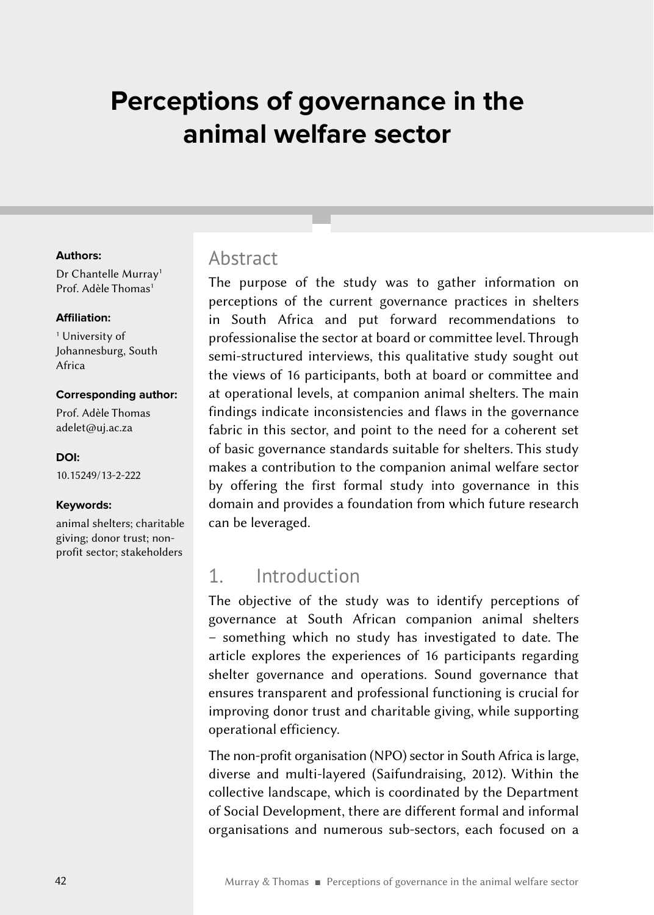# **Perceptions of governance in the animal welfare sector**

#### **Authors:**

Dr Chantelle Murray<sup>1</sup> Prof. Adèle Thomas<sup>1</sup>

#### **Affiliation:**

<sup>1</sup> University of Johannesburg, South Africa

#### **Corresponding author:**

Prof. Adèle Thomas [adelet@uj.ac.za](mailto:adelet%40uj.ac.za?subject=)

**DOI:** [10.15249/13-2-222](https://doi.org/10.15249/13-2-222)

#### **Keywords:**

animal shelters; charitable giving; donor trust; nonprofit sector; stakeholders

#### Abstract

The purpose of the study was to gather information on perceptions of the current governance practices in shelters in South Africa and put forward recommendations to professionalise the sector at board or committee level. Through semi-structured interviews, this qualitative study sought out the views of 16 participants, both at board or committee and at operational levels, at companion animal shelters. The main findings indicate inconsistencies and flaws in the governance fabric in this sector, and point to the need for a coherent set of basic governance standards suitable for shelters. This study makes a contribution to the companion animal welfare sector by offering the first formal study into governance in this domain and provides a foundation from which future research can be leveraged.

### 1. Introduction

The objective of the study was to identify perceptions of governance at South African companion animal shelters – something which no study has investigated to date. The article explores the experiences of 16 participants regarding shelter governance and operations. Sound governance that ensures transparent and professional functioning is crucial for improving donor trust and charitable giving, while supporting operational efficiency.

The non-profit organisation (NPO) sector in South Africa is large, diverse and multi-layered (Saifundraising, 2012). Within the collective landscape, which is coordinated by the Department of Social Development, there are different formal and informal organisations and numerous sub-sectors, each focused on a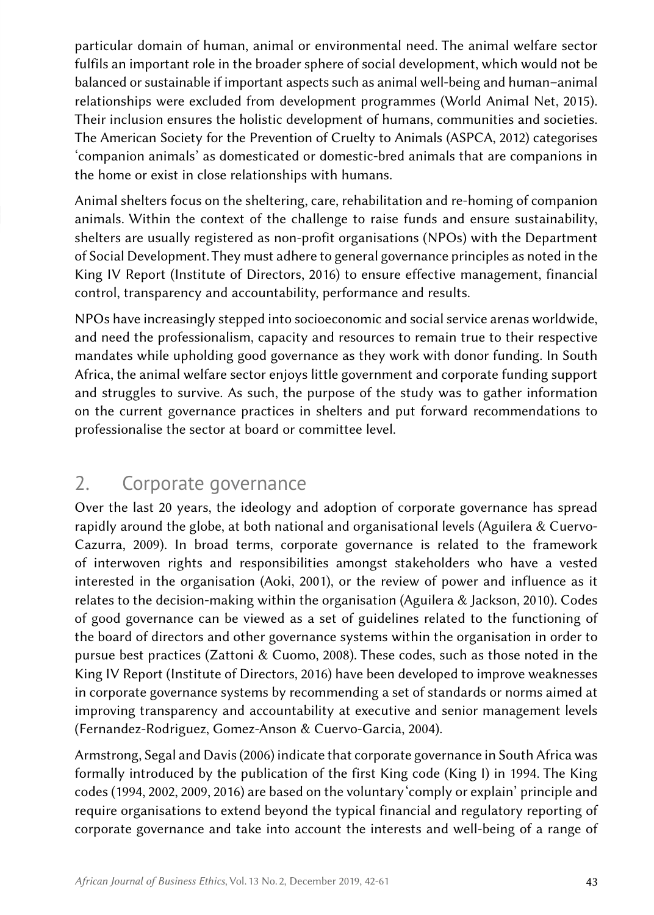particular domain of human, animal or environmental need. The animal welfare sector fulfils an important role in the broader sphere of social development, which would not be balanced or sustainable if important aspects such as animal well-being and human–animal relationships were excluded from development programmes (World Animal Net, 2015). Their inclusion ensures the holistic development of humans, communities and societies. The American Society for the Prevention of Cruelty to Animals (ASPCA, 2012) categorises 'companion animals' as domesticated or domestic-bred animals that are companions in the home or exist in close relationships with humans.

Animal shelters focus on the sheltering, care, rehabilitation and re-homing of companion animals. Within the context of the challenge to raise funds and ensure sustainability, shelters are usually registered as non-profit organisations (NPOs) with the Department of Social Development. They must adhere to general governance principles as noted in the King IV Report (Institute of Directors, 2016) to ensure effective management, financial control, transparency and accountability, performance and results.

NPOs have increasingly stepped into socioeconomic and social service arenas worldwide, and need the professionalism, capacity and resources to remain true to their respective mandates while upholding good governance as they work with donor funding. In South Africa, the animal welfare sector enjoys little government and corporate funding support and struggles to survive. As such, the purpose of the study was to gather information on the current governance practices in shelters and put forward recommendations to professionalise the sector at board or committee level.

## 2. Corporate governance

Over the last 20 years, the ideology and adoption of corporate governance has spread rapidly around the globe, at both national and organisational levels (Aguilera & Cuervo-Cazurra, 2009). In broad terms, corporate governance is related to the framework of interwoven rights and responsibilities amongst stakeholders who have a vested interested in the organisation (Aoki, 2001), or the review of power and influence as it relates to the decision-making within the organisation (Aguilera & Jackson, 2010). Codes of good governance can be viewed as a set of guidelines related to the functioning of the board of directors and other governance systems within the organisation in order to pursue best practices (Zattoni & Cuomo, 2008). These codes, such as those noted in the King IV Report (Institute of Directors, 2016) have been developed to improve weaknesses in corporate governance systems by recommending a set of standards or norms aimed at improving transparency and accountability at executive and senior management levels (Fernandez-Rodriguez, Gomez-Anson & Cuervo-Garcia, 2004).

Armstrong, Segal and Davis (2006) indicate that corporate governance in South Africa was formally introduced by the publication of the first King code (King I) in 1994. The King codes (1994, 2002, 2009, 2016) are based on the voluntary 'comply or explain' principle and require organisations to extend beyond the typical financial and regulatory reporting of corporate governance and take into account the interests and well-being of a range of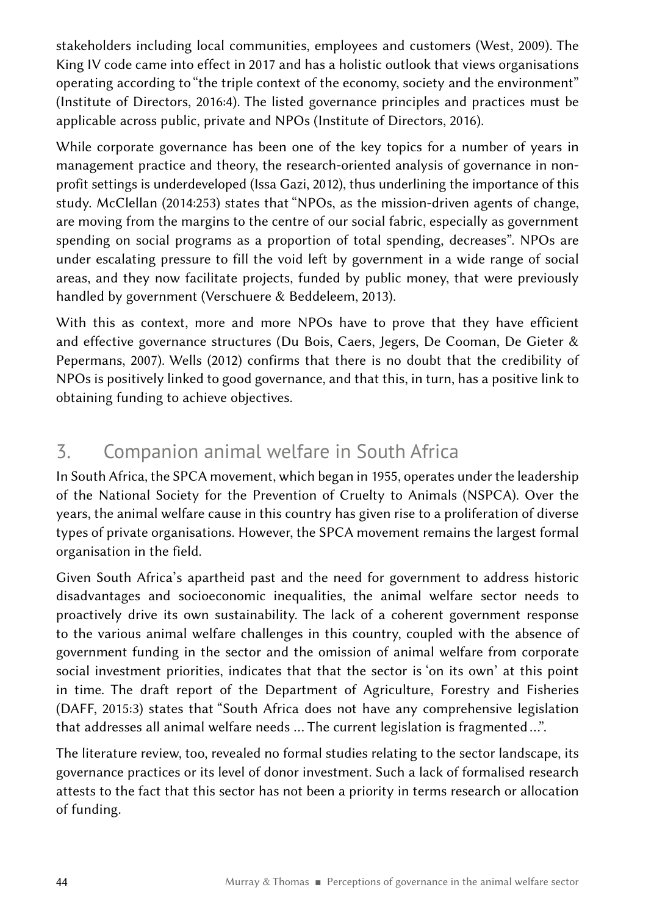stakeholders including local communities, employees and customers (West, 2009). The King IV code came into effect in 2017 and has a holistic outlook that views organisations operating according to "the triple context of the economy, society and the environment" (Institute of Directors, 2016:4). The listed governance principles and practices must be applicable across public, private and NPOs (Institute of Directors, 2016).

While corporate governance has been one of the key topics for a number of years in management practice and theory, the research-oriented analysis of governance in nonprofit settings is underdeveloped (Issa Gazi, 2012), thus underlining the importance of this study. McClellan (2014:253) states that "NPOs, as the mission-driven agents of change, are moving from the margins to the centre of our social fabric, especially as government spending on social programs as a proportion of total spending, decreases". NPOs are under escalating pressure to fill the void left by government in a wide range of social areas, and they now facilitate projects, funded by public money, that were previously handled by government (Verschuere & Beddeleem, 2013).

With this as context, more and more NPOs have to prove that they have efficient and effective governance structures (Du Bois, Caers, Jegers, De Cooman, De Gieter & Pepermans, 2007). Wells (2012) confirms that there is no doubt that the credibility of NPOs is positively linked to good governance, and that this, in turn, has a positive link to obtaining funding to achieve objectives.

## 3. Companion animal welfare in South Africa

In South Africa, the SPCA movement, which began in 1955, operates under the leadership of the National Society for the Prevention of Cruelty to Animals (NSPCA). Over the years, the animal welfare cause in this country has given rise to a proliferation of diverse types of private organisations. However, the SPCA movement remains the largest formal organisation in the field.

Given South Africa's apartheid past and the need for government to address historic disadvantages and socioeconomic inequalities, the animal welfare sector needs to proactively drive its own sustainability. The lack of a coherent government response to the various animal welfare challenges in this country, coupled with the absence of government funding in the sector and the omission of animal welfare from corporate social investment priorities, indicates that that the sector is 'on its own' at this point in time. The draft report of the Department of Agriculture, Forestry and Fisheries (DAFF, 2015:3) states that "South Africa does not have any comprehensive legislation that addresses all animal welfare needs … The current legislation is fragmented …".

The literature review, too, revealed no formal studies relating to the sector landscape, its governance practices or its level of donor investment. Such a lack of formalised research attests to the fact that this sector has not been a priority in terms research or allocation of funding.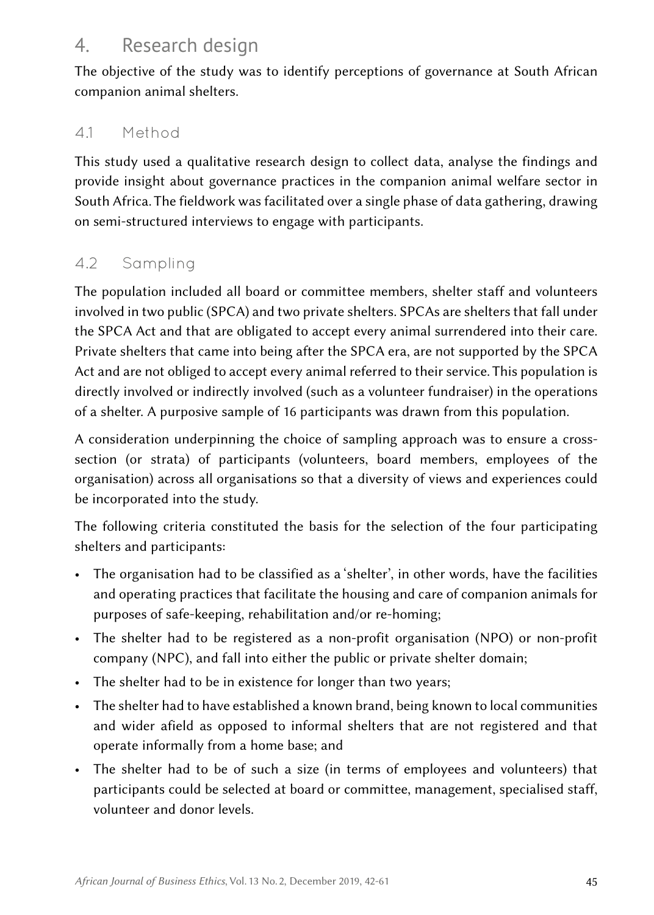## 4. Research design

The objective of the study was to identify perceptions of governance at South African companion animal shelters.

### 4.1 Method

This study used a qualitative research design to collect data, analyse the findings and provide insight about governance practices in the companion animal welfare sector in South Africa. The fieldwork was facilitated over a single phase of data gathering, drawing on semi-structured interviews to engage with participants.

### 4.2 Sampling

The population included all board or committee members, shelter staff and volunteers involved in two public (SPCA) and two private shelters. SPCAs are shelters that fall under the SPCA Act and that are obligated to accept every animal surrendered into their care. Private shelters that came into being after the SPCA era, are not supported by the SPCA Act and are not obliged to accept every animal referred to their service. This population is directly involved or indirectly involved (such as a volunteer fundraiser) in the operations of a shelter. A purposive sample of 16 participants was drawn from this population.

A consideration underpinning the choice of sampling approach was to ensure a crosssection (or strata) of participants (volunteers, board members, employees of the organisation) across all organisations so that a diversity of views and experiences could be incorporated into the study.

The following criteria constituted the basis for the selection of the four participating shelters and participants:

- The organisation had to be classified as a 'shelter', in other words, have the facilities and operating practices that facilitate the housing and care of companion animals for purposes of safe-keeping, rehabilitation and/or re-homing;
- The shelter had to be registered as a non-profit organisation (NPO) or non-profit company (NPC), and fall into either the public or private shelter domain;
- The shelter had to be in existence for longer than two years;
- The shelter had to have established a known brand, being known to local communities and wider afield as opposed to informal shelters that are not registered and that operate informally from a home base; and
- The shelter had to be of such a size (in terms of employees and volunteers) that participants could be selected at board or committee, management, specialised staff, volunteer and donor levels.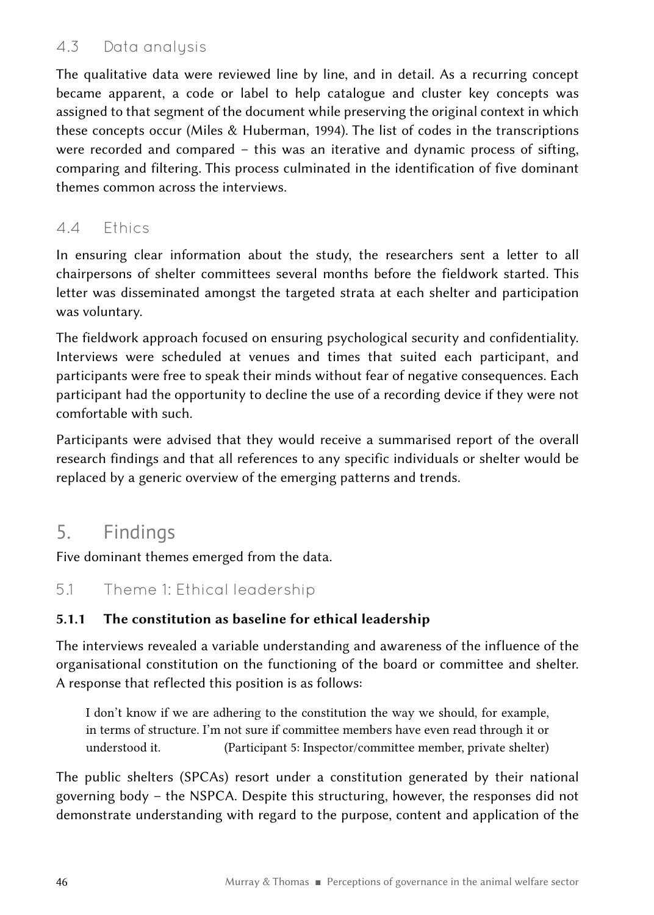#### 4.3 Data analysis

The qualitative data were reviewed line by line, and in detail. As a recurring concept became apparent, a code or label to help catalogue and cluster key concepts was assigned to that segment of the document while preserving the original context in which these concepts occur (Miles & Huberman, 1994). The list of codes in the transcriptions were recorded and compared – this was an iterative and dynamic process of sifting, comparing and filtering. This process culminated in the identification of five dominant themes common across the interviews.

#### 4.4 Ethics

In ensuring clear information about the study, the researchers sent a letter to all chairpersons of shelter committees several months before the fieldwork started. This letter was disseminated amongst the targeted strata at each shelter and participation was voluntary.

The fieldwork approach focused on ensuring psychological security and confidentiality. Interviews were scheduled at venues and times that suited each participant, and participants were free to speak their minds without fear of negative consequences. Each participant had the opportunity to decline the use of a recording device if they were not comfortable with such.

Participants were advised that they would receive a summarised report of the overall research findings and that all references to any specific individuals or shelter would be replaced by a generic overview of the emerging patterns and trends.

### 5. Findings

Five dominant themes emerged from the data.

#### 5.1 Theme 1: Ethical leadership

#### 5.1.1 The constitution as baseline for ethical leadership

The interviews revealed a variable understanding and awareness of the influence of the organisational constitution on the functioning of the board or committee and shelter. A response that reflected this position is as follows:

I don't know if we are adhering to the constitution the way we should, for example, in terms of structure. I'm not sure if committee members have even read through it or understood it. (Participant 5: Inspector/committee member, private shelter)

The public shelters (SPCAs) resort under a constitution generated by their national governing body – the NSPCA. Despite this structuring, however, the responses did not demonstrate understanding with regard to the purpose, content and application of the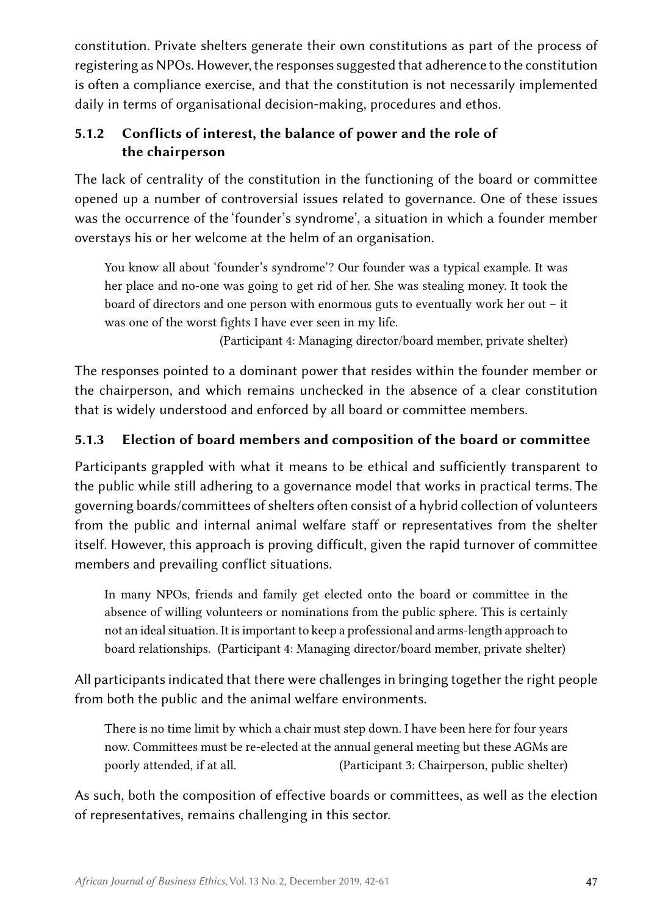constitution. Private shelters generate their own constitutions as part of the process of registering as NPOs. However, the responses suggested that adherence to the constitution is often a compliance exercise, and that the constitution is not necessarily implemented daily in terms of organisational decision-making, procedures and ethos.

#### 5.1.2 Conflicts of interest, the balance of power and the role of the chairperson

The lack of centrality of the constitution in the functioning of the board or committee opened up a number of controversial issues related to governance. One of these issues was the occurrence of the 'founder's syndrome', a situation in which a founder member overstays his or her welcome at the helm of an organisation.

You know all about 'founder's syndrome'? Our founder was a typical example. It was her place and no-one was going to get rid of her. She was stealing money. It took the board of directors and one person with enormous guts to eventually work her out – it was one of the worst fights I have ever seen in my life.

(Participant 4: Managing director/board member, private shelter)

The responses pointed to a dominant power that resides within the founder member or the chairperson, and which remains unchecked in the absence of a clear constitution that is widely understood and enforced by all board or committee members.

#### 5.1.3 Election of board members and composition of the board or committee

Participants grappled with what it means to be ethical and sufficiently transparent to the public while still adhering to a governance model that works in practical terms. The governing boards/committees of shelters often consist of a hybrid collection of volunteers from the public and internal animal welfare staff or representatives from the shelter itself. However, this approach is proving difficult, given the rapid turnover of committee members and prevailing conflict situations.

In many NPOs, friends and family get elected onto the board or committee in the absence of willing volunteers or nominations from the public sphere. This is certainly not an ideal situation. It is important to keep a professional and arms-length approach to board relationships.   (Participant 4: Managing director/board member, private shelter)

All participants indicated that there were challenges in bringing together the right people from both the public and the animal welfare environments.

There is no time limit by which a chair must step down. I have been here for four years now. Committees must be re-elected at the annual general meeting but these AGMs are poorly attended, if at all. (Participant 3: Chairperson, public shelter)

As such, both the composition of effective boards or committees, as well as the election of representatives, remains challenging in this sector.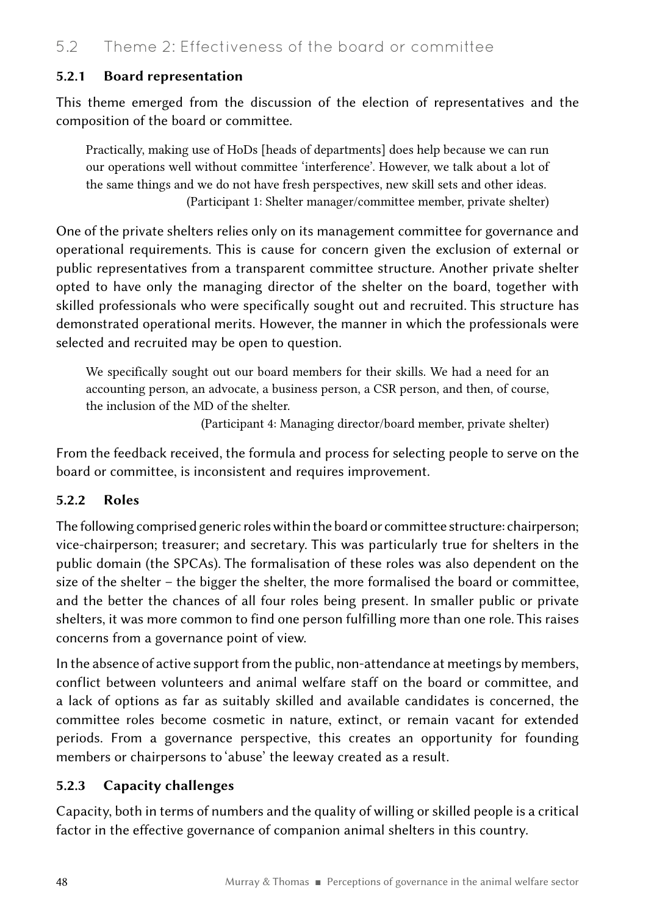#### 5.2.1 Board representation

This theme emerged from the discussion of the election of representatives and the composition of the board or committee.

Practically, making use of HoDs [heads of departments] does help because we can run our operations well without committee 'interference'. However, we talk about a lot of the same things and we do not have fresh perspectives, new skill sets and other ideas. (Participant 1: Shelter manager/committee member, private shelter)

One of the private shelters relies only on its management committee for governance and operational requirements. This is cause for concern given the exclusion of external or public representatives from a transparent committee structure. Another private shelter opted to have only the managing director of the shelter on the board, together with skilled professionals who were specifically sought out and recruited. This structure has demonstrated operational merits. However, the manner in which the professionals were selected and recruited may be open to question.

We specifically sought out our board members for their skills. We had a need for an accounting person, an advocate, a business person, a CSR person, and then, of course, the inclusion of the MD of the shelter.

(Participant 4: Managing director/board member, private shelter)

From the feedback received, the formula and process for selecting people to serve on the board or committee, is inconsistent and requires improvement.

#### 5.2.2 Roles

The following comprised generic roles within the board or committee structure: chairperson; vice-chairperson; treasurer; and secretary. This was particularly true for shelters in the public domain (the SPCAs). The formalisation of these roles was also dependent on the size of the shelter – the bigger the shelter, the more formalised the board or committee, and the better the chances of all four roles being present. In smaller public or private shelters, it was more common to find one person fulfilling more than one role. This raises concerns from a governance point of view.

In the absence of active support from the public, non-attendance at meetings by members, conflict between volunteers and animal welfare staff on the board or committee, and a lack of options as far as suitably skilled and available candidates is concerned, the committee roles become cosmetic in nature, extinct, or remain vacant for extended periods. From a governance perspective, this creates an opportunity for founding members or chairpersons to 'abuse' the leeway created as a result.

#### 5.2.3 Capacity challenges

Capacity, both in terms of numbers and the quality of willing or skilled people is a critical factor in the effective governance of companion animal shelters in this country.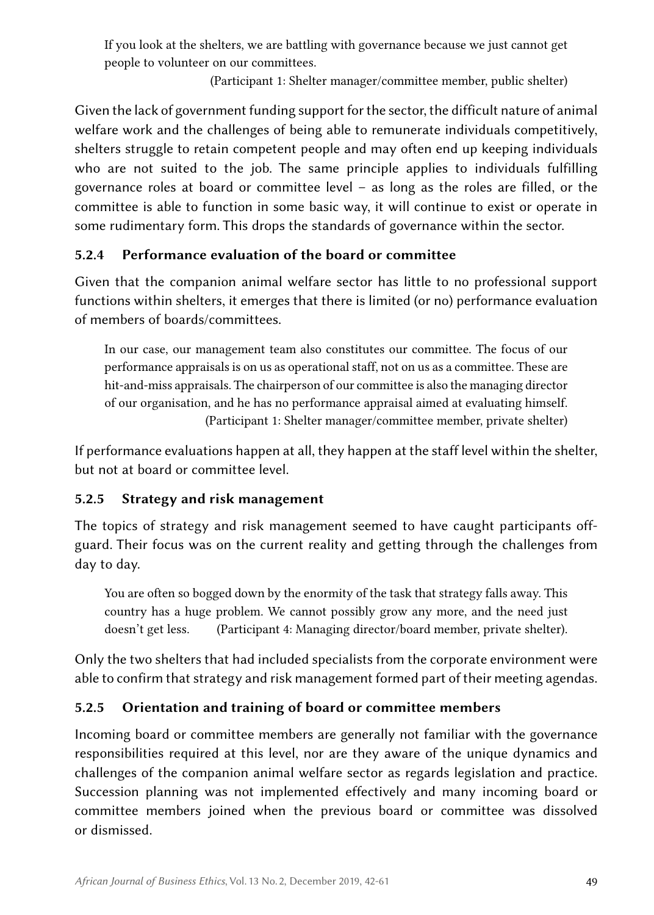If you look at the shelters, we are battling with governance because we just cannot get people to volunteer on our committees.

(Participant 1: Shelter manager/committee member, public shelter)

Given the lack of government funding support for the sector, the difficult nature of animal welfare work and the challenges of being able to remunerate individuals competitively, shelters struggle to retain competent people and may often end up keeping individuals who are not suited to the job. The same principle applies to individuals fulfilling governance roles at board or committee level – as long as the roles are filled, or the committee is able to function in some basic way, it will continue to exist or operate in some rudimentary form. This drops the standards of governance within the sector.

#### 5.2.4 Performance evaluation of the board or committee

Given that the companion animal welfare sector has little to no professional support functions within shelters, it emerges that there is limited (or no) performance evaluation of members of boards/committees.

In our case, our management team also constitutes our committee. The focus of our performance appraisals is on us as operational staff, not on us as a committee. These are hit-and-miss appraisals. The chairperson of our committee is also the managing director of our organisation, and he has no performance appraisal aimed at evaluating himself. (Participant 1: Shelter manager/committee member, private shelter)

If performance evaluations happen at all, they happen at the staff level within the shelter, but not at board or committee level.

#### 5.2.5 Strategy and risk management

The topics of strategy and risk management seemed to have caught participants offguard. Their focus was on the current reality and getting through the challenges from day to day.

You are often so bogged down by the enormity of the task that strategy falls away. This country has a huge problem. We cannot possibly grow any more, and the need just doesn't get less. (Participant 4: Managing director/board member, private shelter).

Only the two shelters that had included specialists from the corporate environment were able to confirm that strategy and risk management formed part of their meeting agendas.

### 5.2.5 Orientation and training of board or committee members

Incoming board or committee members are generally not familiar with the governance responsibilities required at this level, nor are they aware of the unique dynamics and challenges of the companion animal welfare sector as regards legislation and practice. Succession planning was not implemented effectively and many incoming board or committee members joined when the previous board or committee was dissolved or dismissed.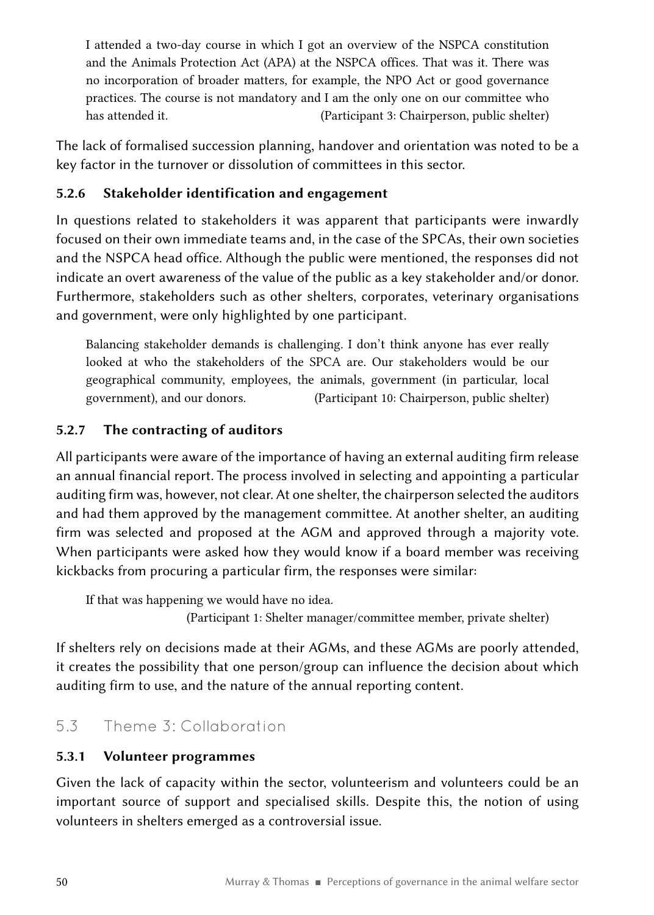I attended a two-day course in which I got an overview of the NSPCA constitution and the Animals Protection Act (APA) at the NSPCA offices. That was it. There was no incorporation of broader matters, for example, the NPO Act or good governance practices. The course is not mandatory and I am the only one on our committee who has attended it. (Participant 3: Chairperson, public shelter)

The lack of formalised succession planning, handover and orientation was noted to be a key factor in the turnover or dissolution of committees in this sector.

#### 5.2.6 Stakeholder identification and engagement

In questions related to stakeholders it was apparent that participants were inwardly focused on their own immediate teams and, in the case of the SPCAs, their own societies and the NSPCA head office. Although the public were mentioned, the responses did not indicate an overt awareness of the value of the public as a key stakeholder and/or donor. Furthermore, stakeholders such as other shelters, corporates, veterinary organisations and government, were only highlighted by one participant.

Balancing stakeholder demands is challenging. I don't think anyone has ever really looked at who the stakeholders of the SPCA are. Our stakeholders would be our geographical community, employees, the animals, government (in particular, local government), and our donors. (Participant 10: Chairperson, public shelter)

#### 5.2.7 The contracting of auditors

All participants were aware of the importance of having an external auditing firm release an annual financial report. The process involved in selecting and appointing a particular auditing firm was, however, not clear. At one shelter, the chairperson selected the auditors and had them approved by the management committee. At another shelter, an auditing firm was selected and proposed at the AGM and approved through a majority vote. When participants were asked how they would know if a board member was receiving kickbacks from procuring a particular firm, the responses were similar:

If that was happening we would have no idea.

(Participant 1: Shelter manager/committee member, private shelter)

If shelters rely on decisions made at their AGMs, and these AGMs are poorly attended, it creates the possibility that one person/group can influence the decision about which auditing firm to use, and the nature of the annual reporting content.

### 5.3 Theme 3: Collaboration

### 5.3.1 Volunteer programmes

Given the lack of capacity within the sector, volunteerism and volunteers could be an important source of support and specialised skills. Despite this, the notion of using volunteers in shelters emerged as a controversial issue.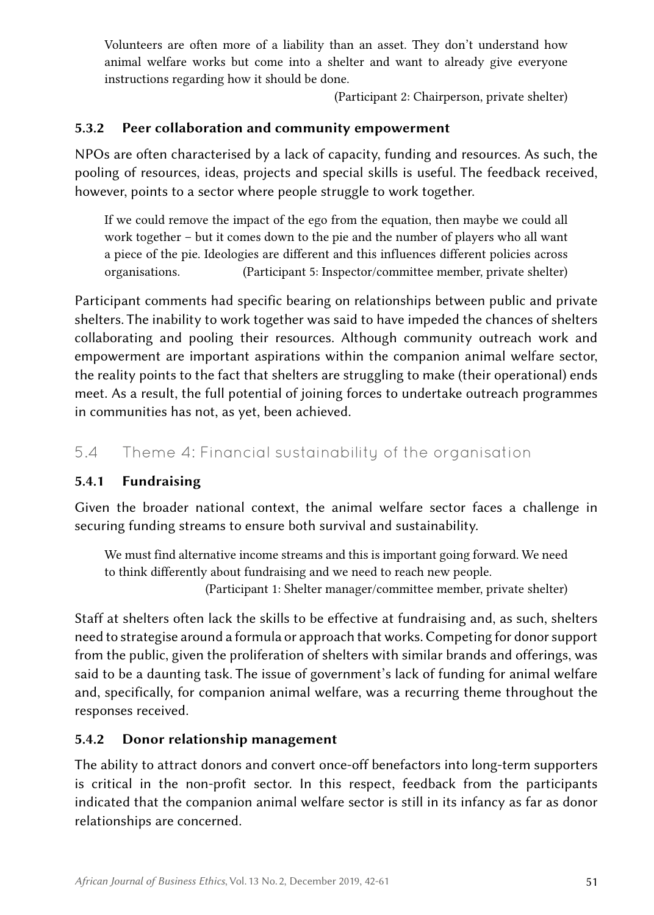Volunteers are often more of a liability than an asset. They don't understand how animal welfare works but come into a shelter and want to already give everyone instructions regarding how it should be done.

(Participant 2: Chairperson, private shelter)

#### 5.3.2 Peer collaboration and community empowerment

NPOs are often characterised by a lack of capacity, funding and resources. As such, the pooling of resources, ideas, projects and special skills is useful. The feedback received, however, points to a sector where people struggle to work together.

If we could remove the impact of the ego from the equation, then maybe we could all work together – but it comes down to the pie and the number of players who all want a piece of the pie. Ideologies are different and this influences different policies across organisations. (Participant 5: Inspector/committee member, private shelter)

Participant comments had specific bearing on relationships between public and private shelters. The inability to work together was said to have impeded the chances of shelters collaborating and pooling their resources. Although community outreach work and empowerment are important aspirations within the companion animal welfare sector, the reality points to the fact that shelters are struggling to make (their operational) ends meet. As a result, the full potential of joining forces to undertake outreach programmes in communities has not, as yet, been achieved.

5.4 Theme 4: Financial sustainability of the organisation

#### 5.4.1 Fundraising

Given the broader national context, the animal welfare sector faces a challenge in securing funding streams to ensure both survival and sustainability.

We must find alternative income streams and this is important going forward. We need to think differently about fundraising and we need to reach new people. (Participant 1: Shelter manager/committee member, private shelter)

Staff at shelters often lack the skills to be effective at fundraising and, as such, shelters need to strategise around a formula or approach that works. Competing for donor support from the public, given the proliferation of shelters with similar brands and offerings, was said to be a daunting task. The issue of government's lack of funding for animal welfare and, specifically, for companion animal welfare, was a recurring theme throughout the responses received.

#### 5.4.2 Donor relationship management

The ability to attract donors and convert once-off benefactors into long-term supporters is critical in the non-profit sector. In this respect, feedback from the participants indicated that the companion animal welfare sector is still in its infancy as far as donor relationships are concerned.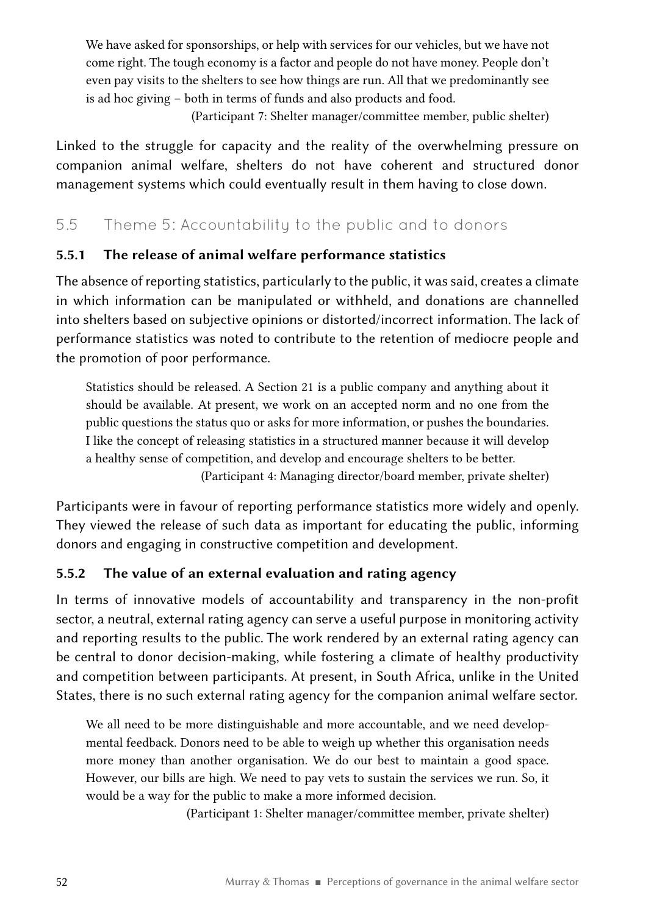We have asked for sponsorships, or help with services for our vehicles, but we have not come right. The tough economy is a factor and people do not have money. People don't even pay visits to the shelters to see how things are run. All that we predominantly see is ad hoc giving – both in terms of funds and also products and food.

(Participant 7: Shelter manager/committee member, public shelter)

Linked to the struggle for capacity and the reality of the overwhelming pressure on companion animal welfare, shelters do not have coherent and structured donor management systems which could eventually result in them having to close down.

### 5.5 Theme 5: Accountability to the public and to donors

#### 5.5.1 The release of animal welfare performance statistics

The absence of reporting statistics, particularly to the public, it was said, creates a climate in which information can be manipulated or withheld, and donations are channelled into shelters based on subjective opinions or distorted/incorrect information. The lack of performance statistics was noted to contribute to the retention of mediocre people and the promotion of poor performance.

Statistics should be released. A Section 21 is a public company and anything about it should be available. At present, we work on an accepted norm and no one from the public questions the status quo or asks for more information, or pushes the boundaries. I like the concept of releasing statistics in a structured manner because it will develop a healthy sense of competition, and develop and encourage shelters to be better. (Participant 4: Managing director/board member, private shelter)

Participants were in favour of reporting performance statistics more widely and openly. They viewed the release of such data as important for educating the public, informing donors and engaging in constructive competition and development.

#### 5.5.2 The value of an external evaluation and rating agency

In terms of innovative models of accountability and transparency in the non-profit sector, a neutral, external rating agency can serve a useful purpose in monitoring activity and reporting results to the public. The work rendered by an external rating agency can be central to donor decision-making, while fostering a climate of healthy productivity and competition between participants. At present, in South Africa, unlike in the United States, there is no such external rating agency for the companion animal welfare sector.

We all need to be more distinguishable and more accountable, and we need developmental feedback. Donors need to be able to weigh up whether this organisation needs more money than another organisation. We do our best to maintain a good space. However, our bills are high. We need to pay vets to sustain the services we run. So, it would be a way for the public to make a more informed decision.

(Participant 1: Shelter manager/committee member, private shelter)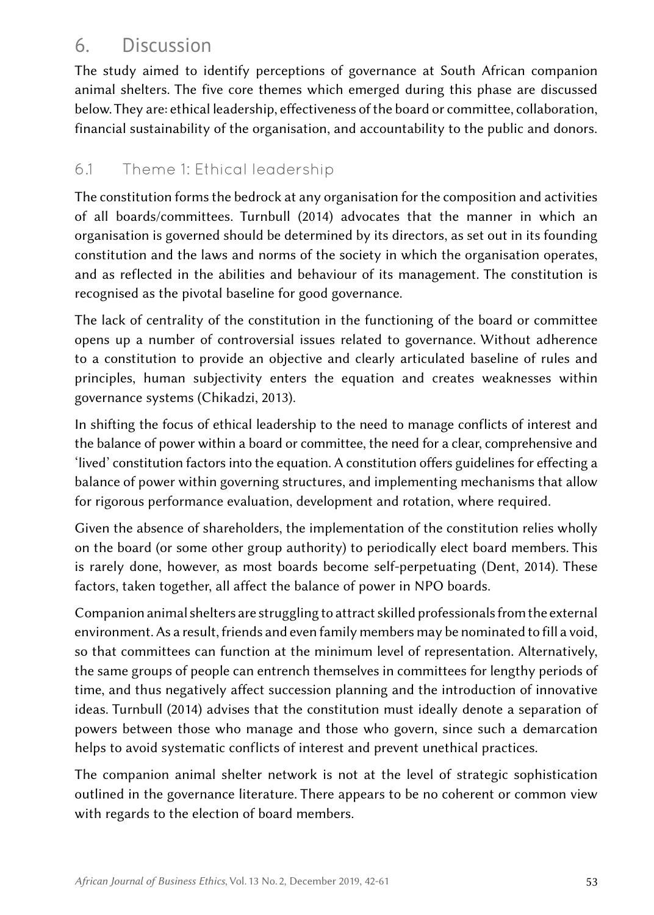## 6. Discussion

The study aimed to identify perceptions of governance at South African companion animal shelters. The five core themes which emerged during this phase are discussed below. They are: ethical leadership, effectiveness of the board or committee, collaboration, financial sustainability of the organisation, and accountability to the public and donors.

### 6.1 Theme 1: Ethical leadership

The constitution forms the bedrock at any organisation for the composition and activities of all boards/committees. Turnbull (2014) advocates that the manner in which an organisation is governed should be determined by its directors, as set out in its founding constitution and the laws and norms of the society in which the organisation operates, and as reflected in the abilities and behaviour of its management. The constitution is recognised as the pivotal baseline for good governance.

The lack of centrality of the constitution in the functioning of the board or committee opens up a number of controversial issues related to governance. Without adherence to a constitution to provide an objective and clearly articulated baseline of rules and principles, human subjectivity enters the equation and creates weaknesses within governance systems (Chikadzi, 2013).

In shifting the focus of ethical leadership to the need to manage conflicts of interest and the balance of power within a board or committee, the need for a clear, comprehensive and 'lived' constitution factors into the equation. A constitution offers guidelines for effecting a balance of power within governing structures, and implementing mechanisms that allow for rigorous performance evaluation, development and rotation, where required.

Given the absence of shareholders, the implementation of the constitution relies wholly on the board (or some other group authority) to periodically elect board members. This is rarely done, however, as most boards become self-perpetuating (Dent, 2014). These factors, taken together, all affect the balance of power in NPO boards.

Companion animal shelters are struggling to attract skilled professionals from the external environment. As a result, friends and even family members may be nominated to fill a void, so that committees can function at the minimum level of representation. Alternatively, the same groups of people can entrench themselves in committees for lengthy periods of time, and thus negatively affect succession planning and the introduction of innovative ideas. Turnbull (2014) advises that the constitution must ideally denote a separation of powers between those who manage and those who govern, since such a demarcation helps to avoid systematic conflicts of interest and prevent unethical practices.

The companion animal shelter network is not at the level of strategic sophistication outlined in the governance literature. There appears to be no coherent or common view with regards to the election of board members.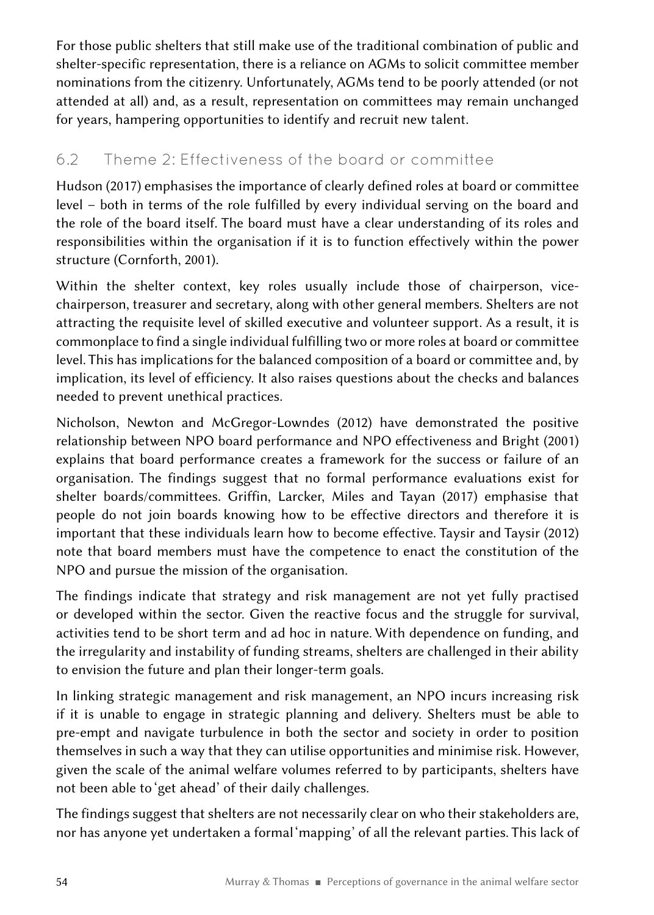For those public shelters that still make use of the traditional combination of public and shelter-specific representation, there is a reliance on AGMs to solicit committee member nominations from the citizenry. Unfortunately, AGMs tend to be poorly attended (or not attended at all) and, as a result, representation on committees may remain unchanged for years, hampering opportunities to identify and recruit new talent.

### 6.2 Theme 2: Effectiveness of the board or committee

Hudson (2017) emphasises the importance of clearly defined roles at board or committee level – both in terms of the role fulfilled by every individual serving on the board and the role of the board itself. The board must have a clear understanding of its roles and responsibilities within the organisation if it is to function effectively within the power structure (Cornforth, 2001).

Within the shelter context, key roles usually include those of chairperson, vicechairperson, treasurer and secretary, along with other general members. Shelters are not attracting the requisite level of skilled executive and volunteer support. As a result, it is commonplace to find a single individual fulfilling two or more roles at board or committee level. This has implications for the balanced composition of a board or committee and, by implication, its level of efficiency. It also raises questions about the checks and balances needed to prevent unethical practices.

Nicholson, Newton and McGregor-Lowndes (2012) have demonstrated the positive relationship between NPO board performance and NPO effectiveness and Bright (2001) explains that board performance creates a framework for the success or failure of an organisation. The findings suggest that no formal performance evaluations exist for shelter boards/committees. Griffin, Larcker, Miles and Tayan (2017) emphasise that people do not join boards knowing how to be effective directors and therefore it is important that these individuals learn how to become effective. Taysir and Taysir (2012) note that board members must have the competence to enact the constitution of the NPO and pursue the mission of the organisation.

The findings indicate that strategy and risk management are not yet fully practised or developed within the sector. Given the reactive focus and the struggle for survival, activities tend to be short term and ad hoc in nature. With dependence on funding, and the irregularity and instability of funding streams, shelters are challenged in their ability to envision the future and plan their longer-term goals.

In linking strategic management and risk management, an NPO incurs increasing risk if it is unable to engage in strategic planning and delivery. Shelters must be able to pre-empt and navigate turbulence in both the sector and society in order to position themselves in such a way that they can utilise opportunities and minimise risk. However, given the scale of the animal welfare volumes referred to by participants, shelters have not been able to 'get ahead' of their daily challenges.

The findings suggest that shelters are not necessarily clear on who their stakeholders are, nor has anyone yet undertaken a formal 'mapping' of all the relevant parties. This lack of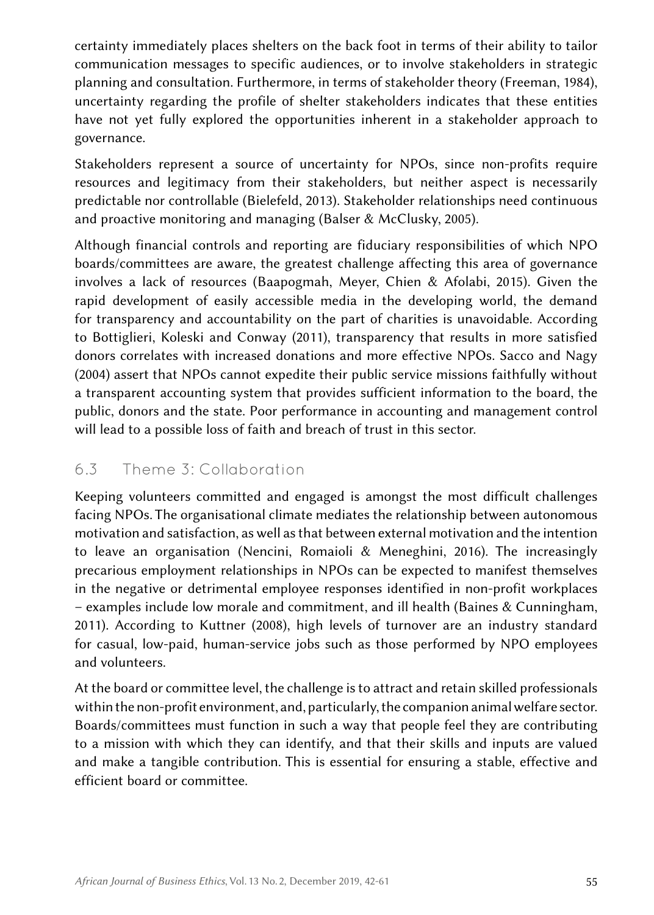certainty immediately places shelters on the back foot in terms of their ability to tailor communication messages to specific audiences, or to involve stakeholders in strategic planning and consultation. Furthermore, in terms of stakeholder theory (Freeman, 1984), uncertainty regarding the profile of shelter stakeholders indicates that these entities have not yet fully explored the opportunities inherent in a stakeholder approach to governance.

Stakeholders represent a source of uncertainty for NPOs, since non-profits require resources and legitimacy from their stakeholders, but neither aspect is necessarily predictable nor controllable (Bielefeld, 2013). Stakeholder relationships need continuous and proactive monitoring and managing (Balser & McClusky, 2005).

Although financial controls and reporting are fiduciary responsibilities of which NPO boards/committees are aware, the greatest challenge affecting this area of governance involves a lack of resources (Baapogmah, Meyer, Chien & Afolabi, 2015). Given the rapid development of easily accessible media in the developing world, the demand for transparency and accountability on the part of charities is unavoidable. According to Bottiglieri, Koleski and Conway (2011), transparency that results in more satisfied donors correlates with increased donations and more effective NPOs. Sacco and Nagy (2004) assert that NPOs cannot expedite their public service missions faithfully without a transparent accounting system that provides sufficient information to the board, the public, donors and the state. Poor performance in accounting and management control will lead to a possible loss of faith and breach of trust in this sector.

### 6.3 Theme 3: Collaboration

Keeping volunteers committed and engaged is amongst the most difficult challenges facing NPOs. The organisational climate mediates the relationship between autonomous motivation and satisfaction, as well as that between external motivation and the intention to leave an organisation (Nencini, Romaioli & Meneghini, 2016). The increasingly precarious employment relationships in NPOs can be expected to manifest themselves in the negative or detrimental employee responses identified in non-profit workplaces – examples include low morale and commitment, and ill health (Baines & Cunningham, 2011). According to Kuttner (2008), high levels of turnover are an industry standard for casual, low-paid, human-service jobs such as those performed by NPO employees and volunteers.

At the board or committee level, the challenge is to attract and retain skilled professionals within the non-profit environment, and, particularly, the companion animal welfare sector. Boards/committees must function in such a way that people feel they are contributing to a mission with which they can identify, and that their skills and inputs are valued and make a tangible contribution. This is essential for ensuring a stable, effective and efficient board or committee.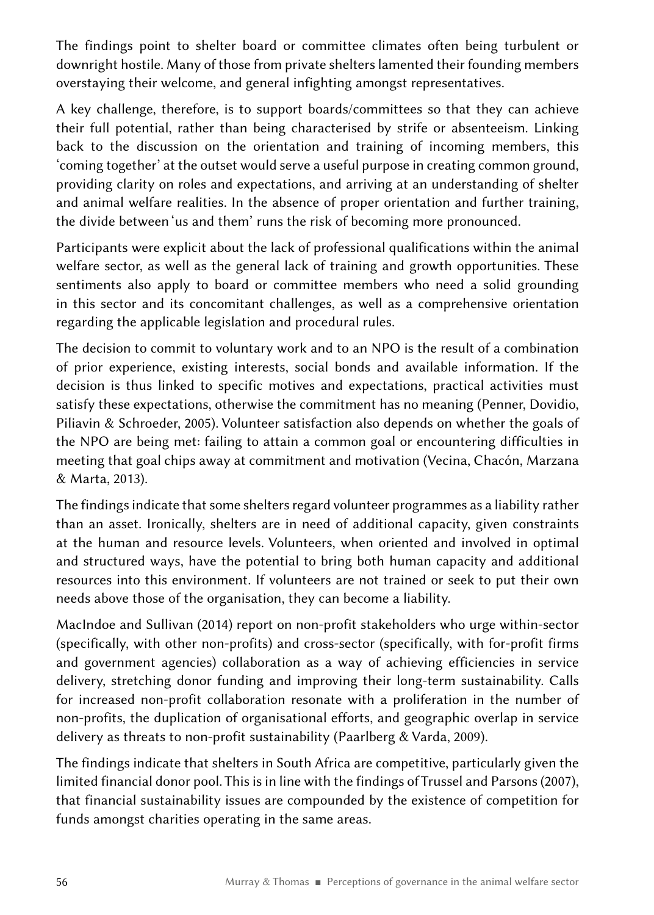The findings point to shelter board or committee climates often being turbulent or downright hostile. Many of those from private shelters lamented their founding members overstaying their welcome, and general infighting amongst representatives.

A key challenge, therefore, is to support boards/committees so that they can achieve their full potential, rather than being characterised by strife or absenteeism. Linking back to the discussion on the orientation and training of incoming members, this 'coming together' at the outset would serve a useful purpose in creating common ground, providing clarity on roles and expectations, and arriving at an understanding of shelter and animal welfare realities. In the absence of proper orientation and further training, the divide between 'us and them' runs the risk of becoming more pronounced.

Participants were explicit about the lack of professional qualifications within the animal welfare sector, as well as the general lack of training and growth opportunities. These sentiments also apply to board or committee members who need a solid grounding in this sector and its concomitant challenges, as well as a comprehensive orientation regarding the applicable legislation and procedural rules.

The decision to commit to voluntary work and to an NPO is the result of a combination of prior experience, existing interests, social bonds and available information. If the decision is thus linked to specific motives and expectations, practical activities must satisfy these expectations, otherwise the commitment has no meaning (Penner, Dovidio, Piliavin & Schroeder, 2005). Volunteer satisfaction also depends on whether the goals of the NPO are being met: failing to attain a common goal or encountering difficulties in meeting that goal chips away at commitment and motivation (Vecina, Chacón, Marzana & Marta, 2013).

The findings indicate that some shelters regard volunteer programmes as a liability rather than an asset. Ironically, shelters are in need of additional capacity, given constraints at the human and resource levels. Volunteers, when oriented and involved in optimal and structured ways, have the potential to bring both human capacity and additional resources into this environment. If volunteers are not trained or seek to put their own needs above those of the organisation, they can become a liability.

MacIndoe and Sullivan (2014) report on non-profit stakeholders who urge within-sector (specifically, with other non-profits) and cross-sector (specifically, with for-profit firms and government agencies) collaboration as a way of achieving efficiencies in service delivery, stretching donor funding and improving their long-term sustainability. Calls for increased non-profit collaboration resonate with a proliferation in the number of non-profits, the duplication of organisational efforts, and geographic overlap in service delivery as threats to non-profit sustainability (Paarlberg & Varda, 2009).

The findings indicate that shelters in South Africa are competitive, particularly given the limited financial donor pool. This is in line with the findings of Trussel and Parsons (2007), that financial sustainability issues are compounded by the existence of competition for funds amongst charities operating in the same areas.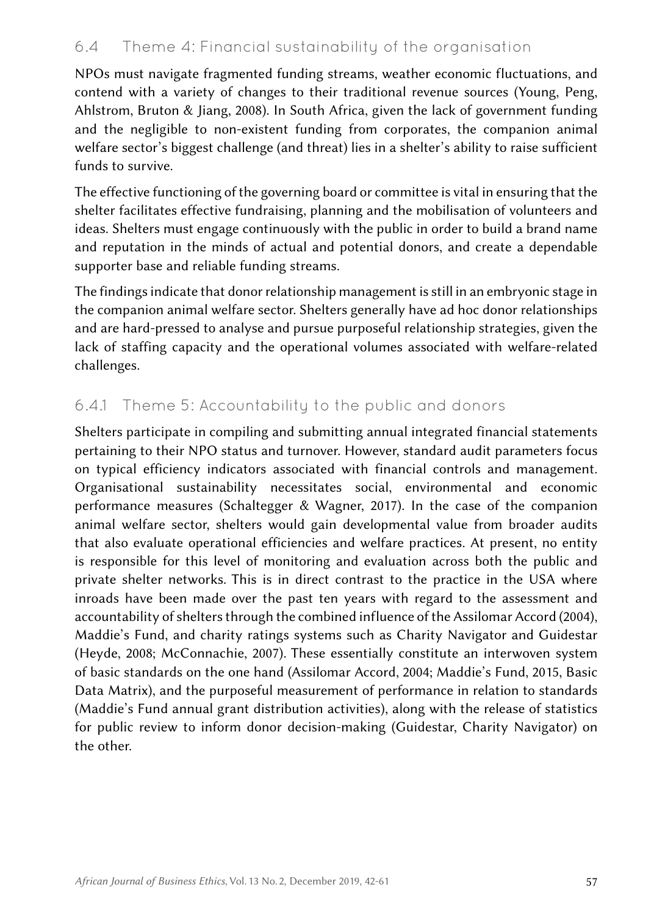### 6.4 Theme 4: Financial sustainability of the organisation

NPOs must navigate fragmented funding streams, weather economic fluctuations, and contend with a variety of changes to their traditional revenue sources (Young, Peng, Ahlstrom, Bruton & Jiang, 2008). In South Africa, given the lack of government funding and the negligible to non-existent funding from corporates, the companion animal welfare sector's biggest challenge (and threat) lies in a shelter's ability to raise sufficient funds to survive.

The effective functioning of the governing board or committee is vital in ensuring that the shelter facilitates effective fundraising, planning and the mobilisation of volunteers and ideas. Shelters must engage continuously with the public in order to build a brand name and reputation in the minds of actual and potential donors, and create a dependable supporter base and reliable funding streams.

The findings indicate that donor relationship management is still in an embryonic stage in the companion animal welfare sector. Shelters generally have ad hoc donor relationships and are hard-pressed to analyse and pursue purposeful relationship strategies, given the lack of staffing capacity and the operational volumes associated with welfare-related challenges.

### 6.4.1 Theme 5: Accountability to the public and donors

Shelters participate in compiling and submitting annual integrated financial statements pertaining to their NPO status and turnover. However, standard audit parameters focus on typical efficiency indicators associated with financial controls and management. Organisational sustainability necessitates social, environmental and economic performance measures (Schaltegger & Wagner, 2017). In the case of the companion animal welfare sector, shelters would gain developmental value from broader audits that also evaluate operational efficiencies and welfare practices. At present, no entity is responsible for this level of monitoring and evaluation across both the public and private shelter networks. This is in direct contrast to the practice in the USA where inroads have been made over the past ten years with regard to the assessment and accountability of shelters through the combined influence of the Assilomar Accord (2004), Maddie's Fund, and charity ratings systems such as Charity Navigator and Guidestar (Heyde, 2008; McConnachie, 2007). These essentially constitute an interwoven system of basic standards on the one hand (Assilomar Accord, 2004; Maddie's Fund, 2015, Basic Data Matrix), and the purposeful measurement of performance in relation to standards (Maddie's Fund annual grant distribution activities), along with the release of statistics for public review to inform donor decision-making (Guidestar, Charity Navigator) on the other.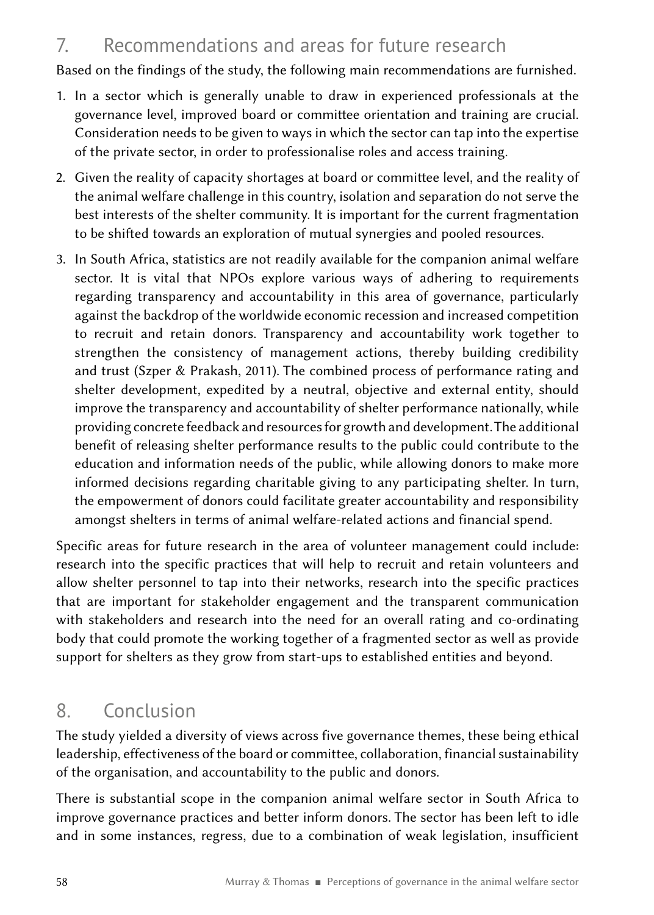### 7. Recommendations and areas for future research

Based on the findings of the study, the following main recommendations are furnished.

- 1. In a sector which is generally unable to draw in experienced professionals at the governance level, improved board or committee orientation and training are crucial. Consideration needs to be given to ways in which the sector can tap into the expertise of the private sector, in order to professionalise roles and access training.
- 2. Given the reality of capacity shortages at board or committee level, and the reality of the animal welfare challenge in this country, isolation and separation do not serve the best interests of the shelter community. It is important for the current fragmentation to be shifted towards an exploration of mutual synergies and pooled resources.
- 3. In South Africa, statistics are not readily available for the companion animal welfare sector. It is vital that NPOs explore various ways of adhering to requirements regarding transparency and accountability in this area of governance, particularly against the backdrop of the worldwide economic recession and increased competition to recruit and retain donors. Transparency and accountability work together to strengthen the consistency of management actions, thereby building credibility and trust (Szper & Prakash, 2011). The combined process of performance rating and shelter development, expedited by a neutral, objective and external entity, should improve the transparency and accountability of shelter performance nationally, while providing concrete feedback and resources for growth and development. The additional benefit of releasing shelter performance results to the public could contribute to the education and information needs of the public, while allowing donors to make more informed decisions regarding charitable giving to any participating shelter. In turn, the empowerment of donors could facilitate greater accountability and responsibility amongst shelters in terms of animal welfare-related actions and financial spend.

Specific areas for future research in the area of volunteer management could include: research into the specific practices that will help to recruit and retain volunteers and allow shelter personnel to tap into their networks, research into the specific practices that are important for stakeholder engagement and the transparent communication with stakeholders and research into the need for an overall rating and co-ordinating body that could promote the working together of a fragmented sector as well as provide support for shelters as they grow from start-ups to established entities and beyond.

## 8. Conclusion

The study yielded a diversity of views across five governance themes, these being ethical leadership, effectiveness of the board or committee, collaboration, financial sustainability of the organisation, and accountability to the public and donors.

There is substantial scope in the companion animal welfare sector in South Africa to improve governance practices and better inform donors. The sector has been left to idle and in some instances, regress, due to a combination of weak legislation, insufficient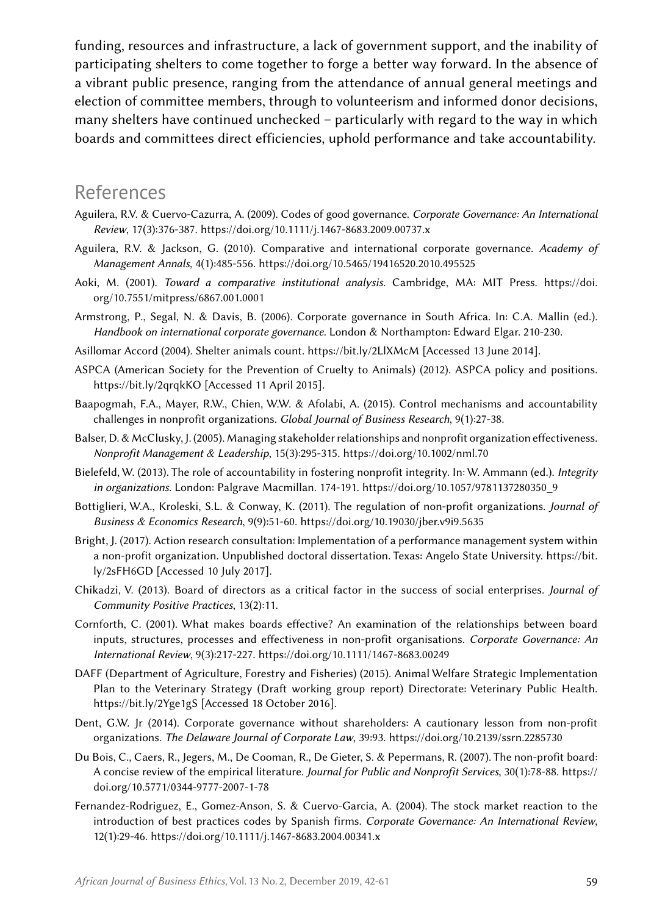funding, resources and infrastructure, a lack of government support, and the inability of participating shelters to come together to forge a better way forward. In the absence of a vibrant public presence, ranging from the attendance of annual general meetings and election of committee members, through to volunteerism and informed donor decisions, many shelters have continued unchecked – particularly with regard to the way in which boards and committees direct efficiencies, uphold performance and take accountability.

### References

- Aguilera, R.V. & Cuervo‐Cazurra, A. (2009). Codes of good governance. *Corporate Governance: An International Review*, 17(3):376-387.<https://doi.org/10.1111/j.1467-8683.2009.00737.x>
- Aguilera, R.V. & Jackson, G. (2010). Comparative and international corporate governance. *Academy of Management Annals*, 4(1):485-556.<https://doi.org/10.5465/19416520.2010.495525>
- Aoki, M. (2001). *Toward a comparative institutional analysis.* Cambridge, MA: MIT Press. [https://doi.](https://doi.org/10.7551/mitpress/6867.001.0001) [org/10.7551/mitpress/6867.001.0001](https://doi.org/10.7551/mitpress/6867.001.0001)
- Armstrong, P., Segal, N. & Davis, B. (2006). Corporate governance in South Africa. In: C.A. Mallin (ed.). *Handbook on international corporate governance.* London & Northampton: Edward Elgar. 210-230.
- Asillomar Accord (2004). Shelter animals count.<https://bit.ly/2LlXMcM> [Accessed 13 June 2014].
- ASPCA (American Society for the Prevention of Cruelty to Animals) (2012). ASPCA policy and positions. <https://bit.ly/2qrqkKO>[Accessed 11 April 2015].
- Baapogmah, F.A., Mayer, R.W., Chien, W.W. & Afolabi, A. (2015). Control mechanisms and accountability challenges in nonprofit organizations. *Global Journal of Business Research*, 9(1):27-38.
- Balser, D. & McClusky, J. (2005). Managing stakeholder relationships and nonprofit organization effectiveness. *Nonprofit Management & Leadership*, 15(3):295-315.<https://doi.org/10.1002/nml.70>
- Bielefeld, W. (2013). The role of accountability in fostering nonprofit integrity. In: W. Ammann (ed.). *Integrity in organizations*. London: Palgrave Macmillan. 174-191. [https://doi.org/10.1057/9781137280350\\_9](https://doi.org/10.1057/9781137280350_9)
- Bottiglieri, W.A., Kroleski, S.L. & Conway, K. (2011). The regulation of non-profit organizations. *Journal of Business & Economics Research*, 9(9):51-60. <https://doi.org/10.19030/jber.v9i9.5635>
- Bright, J. (2017). Action research consultation: Implementation of a performance management system within a non-profit organization. Unpublished doctoral dissertation. Texas: Angelo State University. [https://bit.](https://bit.ly/2sFH6GD) [ly/2sFH6GD](https://bit.ly/2sFH6GD) [Accessed 10 July 2017].
- Chikadzi, V. (2013). Board of directors as a critical factor in the success of social enterprises. *Journal of Community Positive Practices*, 13(2):11.
- Cornforth, C. (2001). What makes boards effective? An examination of the relationships between board inputs, structures, processes and effectiveness in non-profit organisations. *Corporate Governance: An International Review*, 9(3):217-227.<https://doi.org/10.1111/1467-8683.00249>
- DAFF (Department of Agriculture, Forestry and Fisheries) (2015). Animal Welfare Strategic Implementation Plan to the Veterinary Strategy (Draft working group report) Directorate: Veterinary Public Health. <https://bit.ly/2Yge1gS> [Accessed 18 October 2016].
- Dent, G.W. Jr (2014). Corporate governance without shareholders: A cautionary lesson from non-profit organizations. *The Delaware Journal of Corporate Law*, 39:93.<https://doi.org/10.2139/ssrn.2285730>
- Du Bois, C., Caers, R., Jegers, M., De Cooman, R., De Gieter, S. & Pepermans, R. (2007). The non-profit board: A concise review of the empirical literature. *Journal for Public and Nonprofit Services*, 30(1):78-88. [https://](https://doi.org/10.5771/0344-9777-2007-1-78) [doi.org/10.5771/0344-9777-2007-1-78](https://doi.org/10.5771/0344-9777-2007-1-78)
- Fernandez-Rodriguez, E., Gomez-Anson, S. & Cuervo-Garcia, A. (2004). The stock market reaction to the introduction of best practices codes by Spanish firms. *Corporate Governance: An International Review*, 12(1):29-46.<https://doi.org/10.1111/j.1467-8683.2004.00341.x>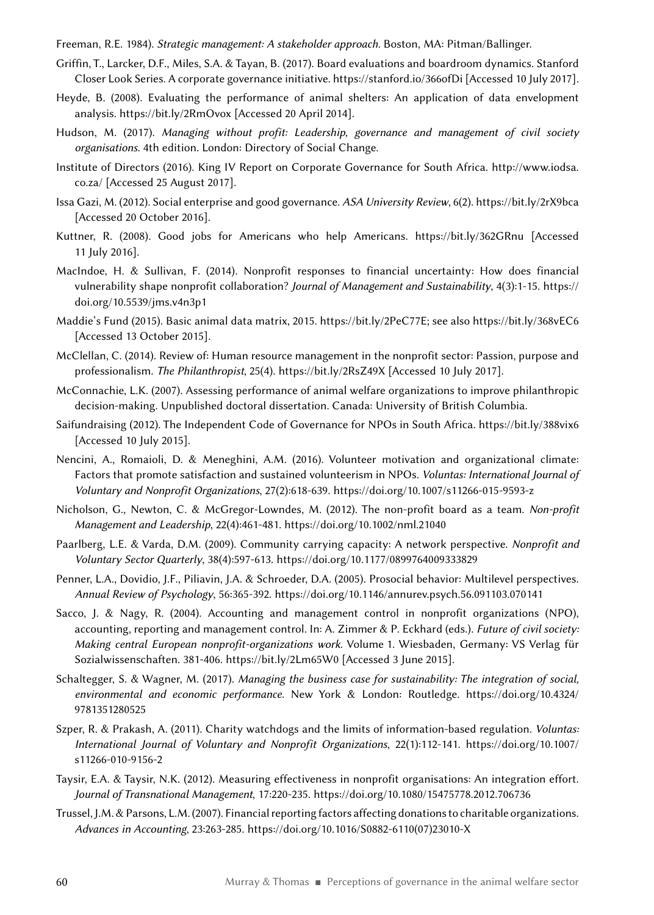Freeman, R.E. 1984). *Strategic management: A stakeholder approach.* Boston, MA: Pitman/Ballinger.

- Griffin, T., Larcker, D.F., Miles, S.A. & Tayan, B. (2017). Board evaluations and boardroom dynamics. Stanford Closer Look Series. A corporate governance initiative.<https://stanford.io/366ofDi> [Accessed 10 July 2017].
- Heyde, B. (2008). Evaluating the performance of animal shelters: An application of data envelopment analysis. <https://bit.ly/2RmOvox>[Accessed 20 April 2014].
- Hudson, M. (2017). *Managing without profit: Leadership, governance and management of civil society organisations*. 4th edition. London: Directory of Social Change.
- Institute of Directors (2016). King IV Report on Corporate Governance for South Africa. [http://www.iodsa.](http://www.iodsa.co.za/) [co.za/](http://www.iodsa.co.za/) [Accessed 25 August 2017].
- Issa Gazi, M. (2012). Social enterprise and good governance. *ASA University Review*, 6(2).<https://bit.ly/2rX9bca> [Accessed 20 October 2016].
- Kuttner, R. (2008). Good jobs for Americans who help Americans. <https://bit.ly/362GRnu>[Accessed 11 July 2016].
- MacIndoe, H. & Sullivan, F. (2014). Nonprofit responses to financial uncertainty: How does financial vulnerability shape nonprofit collaboration? *Journal of Management and Sustainability*, 4(3):1-15. [https://](https://doi.org/10.5539/jms.v4n3p1) [doi.org/10.5539/jms.v4n3p1](https://doi.org/10.5539/jms.v4n3p1)
- Maddie's Fund (2015). Basic animal data matrix, 2015. [https://bit.ly/2PeC77E;](https://bit.ly/2PeC77E) see also <https://bit.ly/368vEC6> [Accessed 13 October 2015].
- McClellan, C. (2014). Review of: Human resource management in the nonprofit sector: Passion, purpose and professionalism. *The Philanthropist*, 25(4).<https://bit.ly/2RsZ49X> [Accessed 10 July 2017].
- McConnachie, L.K. (2007). Assessing performance of animal welfare organizations to improve philanthropic decision-making. Unpublished doctoral dissertation. Canada: University of British Columbia.
- Saifundraising (2012). The Independent Code of Governance for NPOs in South Africa.<https://bit.ly/388vix6> [Accessed 10 July 2015].
- Nencini, A., Romaioli, D. & Meneghini, A.M. (2016). Volunteer motivation and organizational climate: Factors that promote satisfaction and sustained volunteerism in NPOs. *Voluntas: International Journal of Voluntary and Nonprofit Organizations*, 27(2):618-639.<https://doi.org/10.1007/s11266-015-9593-z>
- Nicholson, G., Newton, C. & McGregor-Lowndes, M. (2012). The non-profit board as a team. *Non-profit Management and Leadership*, 22(4):461-481. <https://doi.org/10.1002/nml.21040>
- Paarlberg, L.E. & Varda, D.M. (2009). Community carrying capacity: A network perspective. *Nonprofit and Voluntary Sector Quarterly*, 38(4):597-613. <https://doi.org/10.1177/0899764009333829>
- Penner, L.A., Dovidio, J.F., Piliavin, J.A. & Schroeder, D.A. (2005). Prosocial behavior: Multilevel perspectives. *Annual Review of Psychology*, 56:365-392. <https://doi.org/10.1146/annurev.psych.56.091103.070141>
- Sacco, J. & Nagy, R. (2004). Accounting and management control in nonprofit organizations (NPO), accounting, reporting and management control. In: A. Zimmer & P. Eckhard (eds.). *Future of civil society: Making central European nonprofit-organizations work*. Volume  1. Wiesbaden, Germany: VS Verlag für Sozialwissenschaften. 381-406.<https://bit.ly/2Lm65W0> [Accessed 3 June 2015].
- Schaltegger, S. & Wagner, M. (2017). *Managing the business case for sustainability: The integration of social, environmental and economic performance*. New York & London: Routledge. [https://doi.org/10.4324/](https://doi.org/10.4324/9781351280525) [9781351280525](https://doi.org/10.4324/9781351280525)
- Szper, R. & Prakash, A. (2011). Charity watchdogs and the limits of information-based regulation. *Voluntas: International Journal of Voluntary and Nonprofit Organizations*, 22(1):112-141. [https://doi.org/10.1007/](https://doi.org/10.1007/s11266-010-9156-2) [s11266-010-9156-2](https://doi.org/10.1007/s11266-010-9156-2)
- Taysir, E.A. & Taysir, N.K. (2012). Measuring effectiveness in nonprofit organisations: An integration effort. *Journal of Transnational Management*, 17:220-235.<https://doi.org/10.1080/15475778.2012.706736>
- Trussel, J.M. & Parsons, L.M. (2007). Financial reporting factors affecting donations to charitable organizations. *Advances in Accounting*, 23:263-285. [https://doi.org/10.1016/S0882-6110\(07\)23010-X](https://doi.org/10.1016/S0882-6110(07)23010-X)